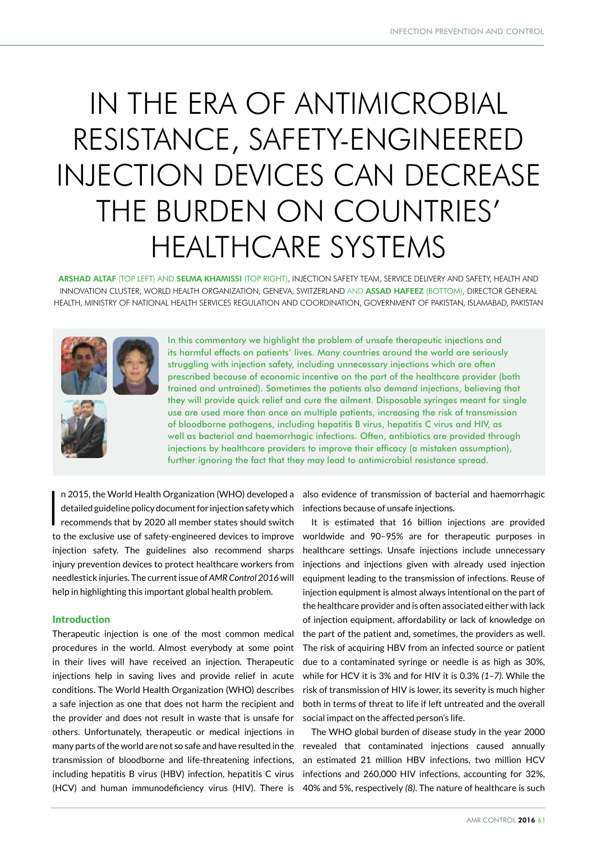# IN THE ERA OF ANTIMICROBIAL RESISTANCE, SAFETY-ENGINEERED INJECTION DEVICES CAN DECREASE THE BURDEN ON COUNTRIES' HEALTHCARE SYSTEMS

ARSHAD ALTAF (TOP LEFT) AND SELMA KHAMISSI (TOP RIGHT), INJECTION SAFETY TEAM, SERVICE DELIVERY AND SAFETY, HEALTH AND INNOVATION CLUSTER, WORLD HEALTH ORGANIZATION, GENEVA, SWITZERLAND AND ASSAD HAFEEZ (BOTTOM), DIRECTOR GENERAL HEALTH, MINISTRY OF NATIONAL HEALTH SERVICES REGULATION AND COORDINATION, GOVERNMENT OF PAKISTAN, ISLAMABAD, PAKISTAN



In this commentary we highlight the problem of unsafe therapeutic injections and its harmful effects on patients' lives. Many countries around the world are seriously struggling with injection safety, including unnecessary injections which are often prescribed because of economic incentive on the part of the healthcare provider (both trained and untrained). Sometimes the patients also demand injections, believing that they will provide quick relief and cure the ailment. Disposable syringes meant for single use are used more than once on multiple patients, increasing the risk of transmission of bloodborne pathogens, including hepatitis B virus, hepatitis C virus and HIV, as well as bacterial and haemorrhagic infections. Often, antibiotics are provided through injections by healthcare providers to improve their efficacy (a mistaken assumption), further ignoring the fact that they may lead to antimicrobial resistance spread.

I n 2015, the World Health Organization (WHO) developed a detailed guideline policy document for injection safety which recommends that by 2020 all member states should switch to the exclusive use of safety-engineered devices to improve injection safety. The guidelines also recommend sharps injury prevention devices to protect healthcare workers from needlestick injuries. The current issue of *AMR Control 2016* will help in highlighting this important global health problem.

## Introduction

Therapeutic injection is one of the most common medical procedures in the world. Almost everybody at some point in their lives will have received an injection. Therapeutic injections help in saving lives and provide relief in acute conditions. The World Health Organization (WHO) describes a safe injection as one that does not harm the recipient and the provider and does not result in waste that is unsafe for others. Unfortunately, therapeutic or medical injections in many parts of the world are not so safe and have resulted in the transmission of bloodborne and life-threatening infections, including hepatitis B virus (HBV) infection, hepatitis C virus (HCV) and human immunodeficiency virus (HIV). There is 40% and 5%, respectively *(8)*. The nature of healthcare is such

also evidence of transmission of bacterial and haemorrhagic infections because of unsafe injections.

It is estimated that 16 billion injections are provided worldwide and 90–95% are for therapeutic purposes in healthcare settings. Unsafe injections include unnecessary injections and injections given with already used injection equipment leading to the transmission of infections. Reuse of injection equipment is almost always intentional on the part of the healthcare provider and is often associated either with lack of injection equipment, affordability or lack of knowledge on the part of the patient and, sometimes, the providers as well. The risk of acquiring HBV from an infected source or patient due to a contaminated syringe or needle is as high as 30%, while for HCV it is 3% and for HIV it is 0.3% *(1–7)*. While the risk of transmission of HIV is lower, its severity is much higher both in terms of threat to life if left untreated and the overall social impact on the affected person's life.

The WHO global burden of disease study in the year 2000 revealed that contaminated injections caused annually an estimated 21 million HBV infections, two million HCV infections and 260,000 HIV infections, accounting for 32%,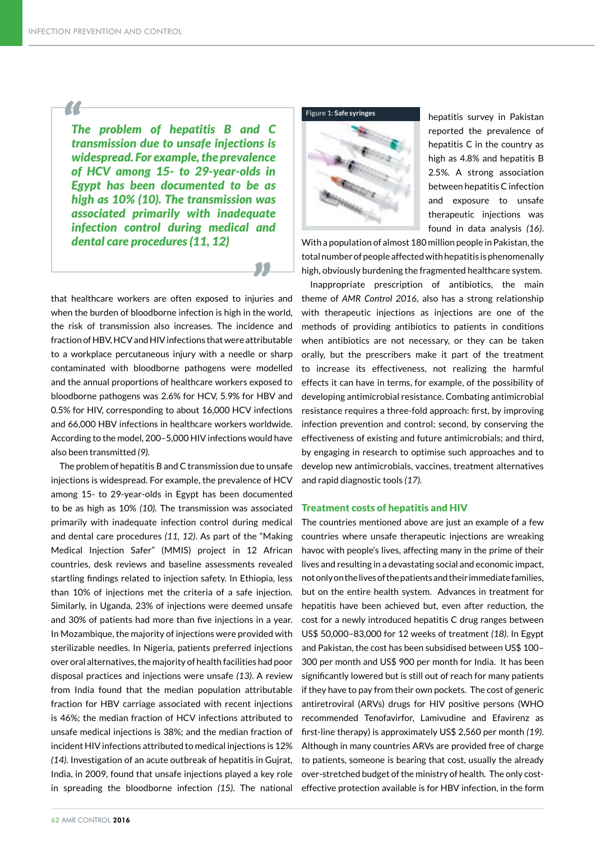*"*

*The problem of hepatitis B and C transmission due to unsafe injections is widespread. For example, the prevalence of HCV among 15- to 29-year-olds in Egypt has been documented to be as high as 10% (10). The transmission was associated primarily with inadequate infection control during medical and dental care procedures (11, 12)*

that healthcare workers are often exposed to injuries and *"* when the burden of bloodborne infection is high in the world, the risk of transmission also increases. The incidence and fraction of HBV, HCV and HIV infections that were attributable to a workplace percutaneous injury with a needle or sharp contaminated with bloodborne pathogens were modelled and the annual proportions of healthcare workers exposed to bloodborne pathogens was 2.6% for HCV, 5.9% for HBV and 0.5% for HIV, corresponding to about 16,000 HCV infections and 66,000 HBV infections in healthcare workers worldwide. According to the model, 200–5,000 HIV infections would have also been transmitted *(9).*

The problem of hepatitis B and C transmission due to unsafe injections is widespread. For example, the prevalence of HCV among 15- to 29-year-olds in Egypt has been documented to be as high as 10% *(10).* The transmission was associated primarily with inadequate infection control during medical and dental care procedures *(11, 12)*. As part of the "Making Medical Injection Safer" (MMIS) project in 12 African countries, desk reviews and baseline assessments revealed startling findings related to injection safety. In Ethiopia, less than 10% of injections met the criteria of a safe injection. Similarly, in Uganda, 23% of injections were deemed unsafe and 30% of patients had more than five injections in a year. In Mozambique, the majority of injections were provided with sterilizable needles. In Nigeria, patients preferred injections over oral alternatives, the majority of health facilities had poor disposal practices and injections were unsafe *(13)*. A review from India found that the median population attributable fraction for HBV carriage associated with recent injections is 46%; the median fraction of HCV infections attributed to unsafe medical injections is 38%; and the median fraction of incident HIV infections attributed to medical injections is 12% *(14).* Investigation of an acute outbreak of hepatitis in Gujrat, India, in 2009, found that unsafe injections played a key role in spreading the bloodborne infection *(15)*. The national





hepatitis survey in Pakistan reported the prevalence of hepatitis C in the country as high as 4.8% and hepatitis B 2.5%. A strong association between hepatitis C infection and exposure to unsafe therapeutic injections was found in data analysis *(16)*.

With a population of almost 180 million people in Pakistan, the total number of people affected with hepatitis is phenomenally high, obviously burdening the fragmented healthcare system.

Inappropriate prescription of antibiotics, the main theme of *AMR Control 2016*, also has a strong relationship with therapeutic injections as injections are one of the methods of providing antibiotics to patients in conditions when antibiotics are not necessary, or they can be taken orally, but the prescribers make it part of the treatment to increase its effectiveness, not realizing the harmful effects it can have in terms, for example, of the possibility of developing antimicrobial resistance. Combating antimicrobial resistance requires a three-fold approach: first, by improving infection prevention and control; second, by conserving the effectiveness of existing and future antimicrobials; and third, by engaging in research to optimise such approaches and to develop new antimicrobials, vaccines, treatment alternatives and rapid diagnostic tools *(17).*

### Treatment costs of hepatitis and HIV

The countries mentioned above are just an example of a few countries where unsafe therapeutic injections are wreaking havoc with people's lives, affecting many in the prime of their lives and resulting in a devastating social and economic impact, not only on the lives of the patients and their immediate families, but on the entire health system. Advances in treatment for hepatitis have been achieved but, even after reduction, the cost for a newly introduced hepatitis C drug ranges between US\$ 50,000–83,000 for 12 weeks of treatment *(18)*. In Egypt and Pakistan, the cost has been subsidised between US\$ 100– 300 per month and US\$ 900 per month for India. It has been significantly lowered but is still out of reach for many patients if they have to pay from their own pockets. The cost of generic antiretroviral (ARVs) drugs for HIV positive persons (WHO recommended Tenofavirfor, Lamivudine and Efavirenz as first-line therapy) is approximately US\$ 2,560 per month *(19)*. Although in many countries ARVs are provided free of charge to patients, someone is bearing that cost, usually the already over-stretched budget of the ministry of health. The only costeffective protection available is for HBV infection, in the form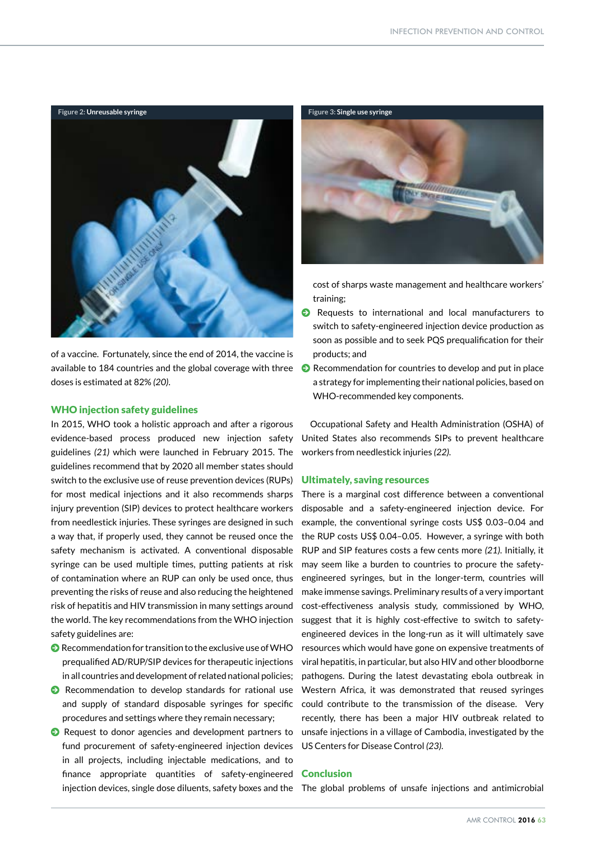

of a vaccine. Fortunately, since the end of 2014, the vaccine is available to 184 countries and the global coverage with three doses is estimated at 82% *(20)*.

### WHO injection safety guidelines

In 2015, WHO took a holistic approach and after a rigorous evidence-based process produced new injection safety guidelines *(21)* which were launched in February 2015. The guidelines recommend that by 2020 all member states should switch to the exclusive use of reuse prevention devices (RUPs) for most medical injections and it also recommends sharps injury prevention (SIP) devices to protect healthcare workers from needlestick injuries. These syringes are designed in such a way that, if properly used, they cannot be reused once the safety mechanism is activated. A conventional disposable syringe can be used multiple times, putting patients at risk of contamination where an RUP can only be used once, thus preventing the risks of reuse and also reducing the heightened risk of hepatitis and HIV transmission in many settings around the world. The key recommendations from the WHO injection safety guidelines are:

- $\bullet$  Recommendation for transition to the exclusive use of WHO prequalified AD/RUP/SIP devices for therapeutic injections in all countries and development of related national policies;
- $\bullet$  Recommendation to develop standards for rational use and supply of standard disposable syringes for specific procedures and settings where they remain necessary;
- $\bullet$  Request to donor agencies and development partners to fund procurement of safety-engineered injection devices in all projects, including injectable medications, and to finance appropriate quantities of safety-engineered



cost of sharps waste management and healthcare workers' training;

- $\bullet$  Requests to international and local manufacturers to switch to safety-engineered injection device production as soon as possible and to seek PQS prequalification for their products; and
- $\Theta$  Recommendation for countries to develop and put in place a strategy for implementing their national policies, based on WHO-recommended key components.

Occupational Safety and Health Administration (OSHA) of United States also recommends SIPs to prevent healthcare workers from needlestick injuries *(22).*

#### Ultimately, saving resources

There is a marginal cost difference between a conventional disposable and a safety-engineered injection device. For example, the conventional syringe costs US\$ 0.03–0.04 and the RUP costs US\$ 0.04–0.05. However, a syringe with both RUP and SIP features costs a few cents more *(21)*. Initially, it may seem like a burden to countries to procure the safetyengineered syringes, but in the longer-term, countries will make immense savings. Preliminary results of a very important cost-effectiveness analysis study, commissioned by WHO, suggest that it is highly cost-effective to switch to safetyengineered devices in the long-run as it will ultimately save resources which would have gone on expensive treatments of viral hepatitis, in particular, but also HIV and other bloodborne pathogens. During the latest devastating ebola outbreak in Western Africa, it was demonstrated that reused syringes could contribute to the transmission of the disease. Very recently, there has been a major HIV outbreak related to unsafe injections in a village of Cambodia, investigated by the US Centers for Disease Control *(23)*.

#### **Conclusion**

injection devices, single dose diluents, safety boxes and the The global problems of unsafe injections and antimicrobial